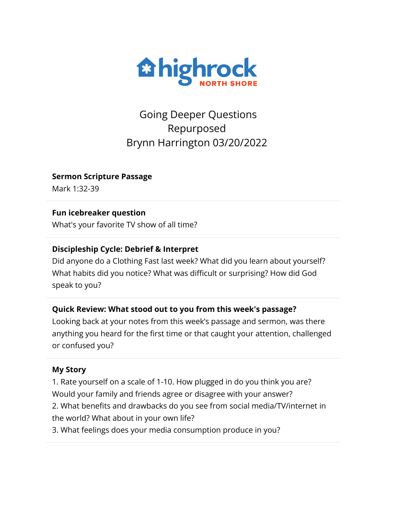

Going Deeper Questions Repurposed Brynn Harrington 03/20/2022

**Sermon Scripture Passage**

Mark 1:32-39

## **Fun icebreaker question**

What's your favorite TV show of all time?

# **Discipleship Cycle: Debrief & Interpret**

Did anyone do a Clothing Fast last week? What did you learn about yourself? What habits did you notice? What was difficult or surprising? How did God speak to you?

# **Quick Review: What stood out to you from this week's passage?**

Looking back at your notes from this week's passage and sermon, was there anything you heard for the first time or that caught your attention, challenged or confused you?

### **My Story**

1. Rate yourself on a scale of 1-10. How plugged in do you think you are? Would your family and friends agree or disagree with your answer? 2. What benefits and drawbacks do you see from social media/TV/internet in the world? What about in your own life?

3. What feelings does your media consumption produce in you?